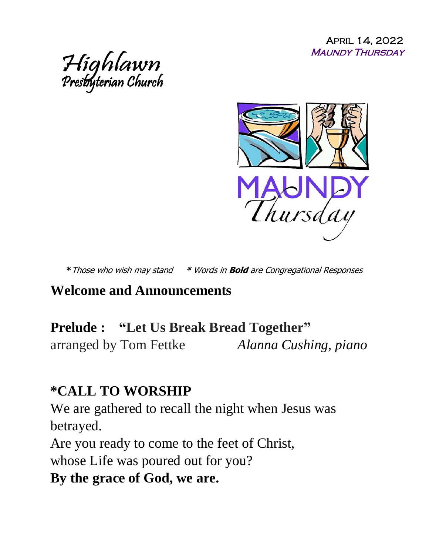April 14, 2022 Maundy Thursday





**\***Those who wish may stand **\*** Words in **Bold** are Congregational Responses

#### **Welcome and Announcements**

#### **Prelude : "Let Us Break Bread Together"**

arranged by Tom Fettke *Alanna Cushing, piano* 

#### **\*CALL TO WORSHIP**

We are gathered to recall the night when Jesus was betrayed.

Are you ready to come to the feet of Christ, whose Life was poured out for you?

#### **By the grace of God, we are.**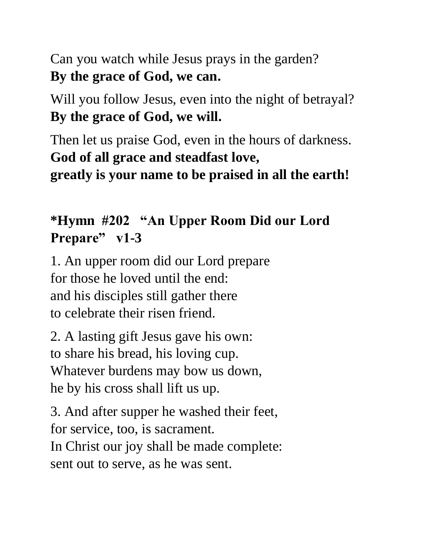Can you watch while Jesus prays in the garden? **By the grace of God, we can.**

Will you follow Jesus, even into the night of betrayal? **By the grace of God, we will.**

Then let us praise God, even in the hours of darkness. **God of all grace and steadfast love, greatly is your name to be praised in all the earth!**

# **\*Hymn #202 "An Upper Room Did our Lord Prepare" v1-3**

1. An upper room did our Lord prepare for those he loved until the end: and his disciples still gather there to celebrate their risen friend.

2. A lasting gift Jesus gave his own: to share his bread, his loving cup. Whatever burdens may bow us down, he by his cross shall lift us up.

3. And after supper he washed their feet, for service, too, is sacrament. In Christ our joy shall be made complete: sent out to serve, as he was sent.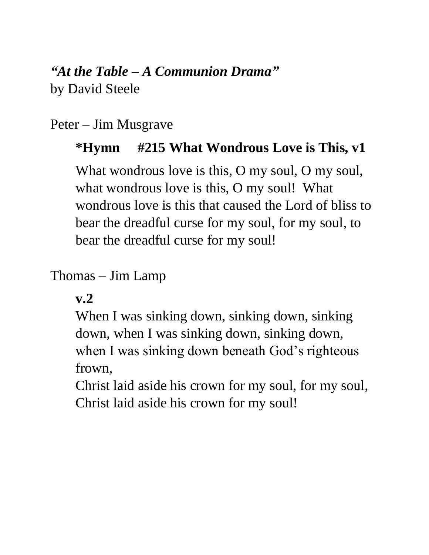## *"At the Table – A Communion Drama"*

by David Steele

### Peter – Jim Musgrave

## **\*Hymn #215 What Wondrous Love is This, v1**

What wondrous love is this, O my soul, O my soul, what wondrous love is this, O my soul! What wondrous love is this that caused the Lord of bliss to bear the dreadful curse for my soul, for my soul, to bear the dreadful curse for my soul!

## Thomas – Jim Lamp

**v.2** 

When I was sinking down, sinking down, sinking down, when I was sinking down, sinking down, when I was sinking down beneath God's righteous frown,

Christ laid aside his crown for my soul, for my soul, Christ laid aside his crown for my soul!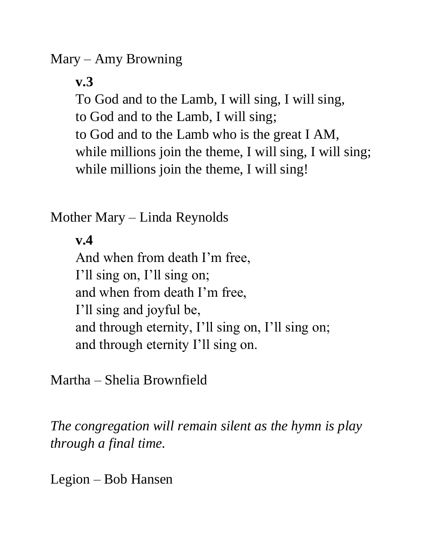Mary – Amy Browning

**v.3** 

To God and to the Lamb, I will sing, I will sing,

to God and to the Lamb, I will sing;

to God and to the Lamb who is the great I AM, while millions join the theme, I will sing, I will sing;

while millions join the theme, I will sing!

Mother Mary – Linda Reynolds

**v.4**

And when from death I'm free, I'll sing on, I'll sing on; and when from death I'm free, I'll sing and joyful be, and through eternity, I'll sing on, I'll sing on; and through eternity I'll sing on.

Martha – Shelia Brownfield

*The congregation will remain silent as the hymn is play through a final time.*

Legion – Bob Hansen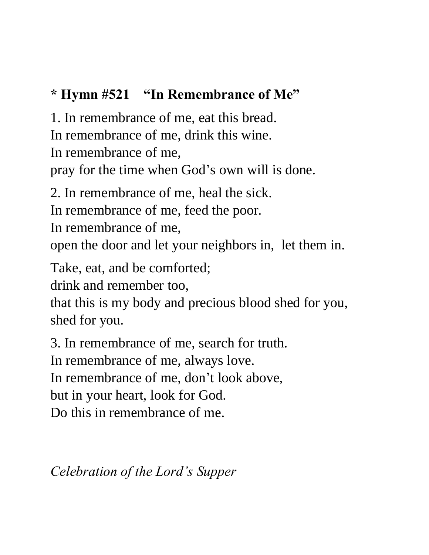# **\* Hymn #521 "In Remembrance of Me"**

1. In remembrance of me, eat this bread.

In remembrance of me, drink this wine.

In remembrance of me,

pray for the time when God's own will is done.

2. In remembrance of me, heal the sick.

In remembrance of me, feed the poor.

In remembrance of me,

open the door and let your neighbors in, let them in.

Take, eat, and be comforted;

drink and remember too,

that this is my body and precious blood shed for you, shed for you.

3. In remembrance of me, search for truth.

In remembrance of me, always love.

In remembrance of me, don't look above,

but in your heart, look for God.

Do this in remembrance of me.

*Celebration of the Lord's Supper*